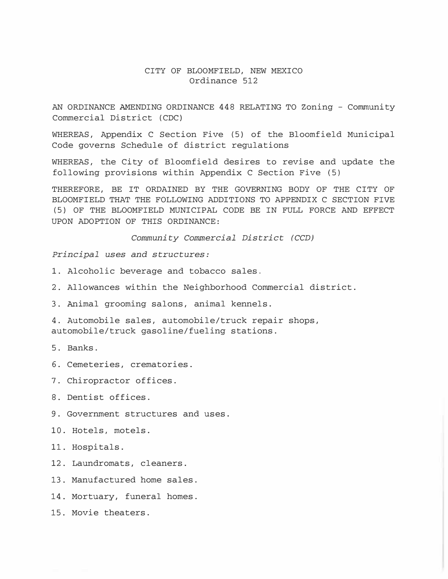## CITY OF BLOOMFIELD, NEW MEXICO Ordinance 512

AN ORDINANCE AMENDING ORDINANCE 448 RELATING TO Zoning - Community Commercial District (CDC)

WHEREAS, Appendix C Section Five (5) of the Bloomfield Municipal Code governs Schedule of district regulations

WHEREAS, the City of Bloomfield desires to revise and update the following provisions within Appendix C Section Five (5)

THEREFORE, BE IT ORDAINED BY THE GOVERNING BODY OF THE CITY OF BLOOMFIELD THAT THE FOLLOWING ADDITIONS TO APPENDIX C SECTION FIVE (5) OF THE BLOOMFIELD MUNICIPAL CODE BE IN FULL FORCE AND EFFECT UPON ADOPTION OF THIS ORDINANCE:

Community Commercial District (CCD)

Principal uses and structures:

1. Alcoholic beverage and tobacco sales.

2. Allowances within the Neighborhood Commercial district.

3. Animal grooming salons, animal kennels.

4. Automobile sales, automobile/truck repair shops, automobile/truck gasoline/fueling stations.

5. Banks.

6. Cemeteries, crematories.

7. Chiropractor offices.

8. Dentist offices.

9. Government structures and uses.

10. Hotels, motels.

11. Hospitals.

12. Laundromats, cleaners.

13. Manufactured home sales.

14. Mortuary, funeral homes.

15. Movie theaters.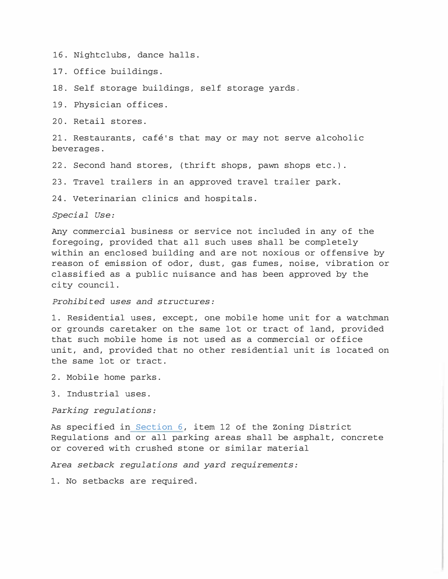16. Nightclubs, dance halls.

17. Office buildings.

18. Self storage buildings, self storage yards.

19. Physician offices.

20. Retail stores.

21. Restaurants, cafe's that may or may not serve alcoholic beverages.

22. Second hand stores, {thrift shops, pawn shops etc.) .

23. Travel trailers in an approved travel trailer park.

24. Veterinarian clinics and hospitals.

Special Use:

Any commercial business or service not included in any of the foregoing, provided that all such uses shall be completely within an enclosed building and are not noxious or offensive by reason of emission of odor, dust, gas fumes, noise, vibration or classified as a public nuisance and has been approved by the city council.

Prohibited uses and structures:

1. Residential uses, except, one mobile home unit for a watchman or grounds caretaker on the same lot or tract of land, provided that such mobile home is not used as a commercial or office unit, and, provided that no other residential unit is located on the same lot or tract.

2. Mobile home parks.

3. Industrial uses.

Parking regulations:

As specified in Section 6, item 12 of the Zoning District Regulations and or all parking areas shall be asphalt, concrete or covered with crushed stone or similar material

Area setback regulations and yard requirements:

1. No setbacks are required.